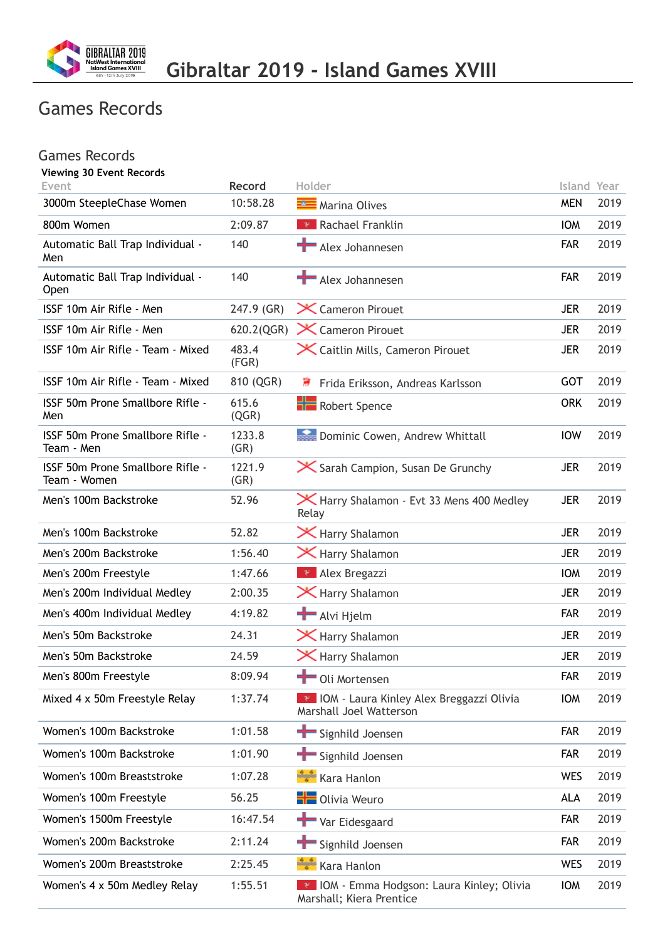

## Games Records

| <b>Games Records</b>                             |                    |                                                                                 |                           |      |
|--------------------------------------------------|--------------------|---------------------------------------------------------------------------------|---------------------------|------|
| <b>Viewing 30 Event Records</b>                  |                    |                                                                                 |                           |      |
| Event<br>3000m SteepleChase Women                | Record<br>10:58.28 | Holder<br>Marina Olives                                                         | Island Year<br><b>MEN</b> | 2019 |
| 800m Women                                       | 2:09.87            | <b>Rachael Franklin</b>                                                         | <b>IOM</b>                | 2019 |
| Automatic Ball Trap Individual -                 | 140                | Alex Johannesen                                                                 | <b>FAR</b>                | 2019 |
| Men                                              |                    |                                                                                 |                           |      |
| Automatic Ball Trap Individual -<br><b>Open</b>  | 140                | Alex Johannesen                                                                 | <b>FAR</b>                | 2019 |
| ISSF 10m Air Rifle - Men                         | 247.9 (GR)         | X Cameron Pirouet                                                               | <b>JER</b>                | 2019 |
| ISSF 10m Air Rifle - Men                         | 620.2(QGR)         | X Cameron Pirouet                                                               | <b>JER</b>                | 2019 |
| ISSF 10m Air Rifle - Team - Mixed                | 483.4<br>(FGR)     | X Caitlin Mills, Cameron Pirouet                                                | <b>JER</b>                | 2019 |
| ISSF 10m Air Rifle - Team - Mixed                | 810 (QGR)          | 薄<br>Frida Eriksson, Andreas Karlsson                                           | <b>GOT</b>                | 2019 |
| ISSF 50m Prone Smallbore Rifle -<br>Men          | 615.6<br>(QGR)     | <b>Robert Spence</b>                                                            | <b>ORK</b>                | 2019 |
| ISSF 50m Prone Smallbore Rifle -<br>Team - Men   | 1233.8<br>(GR)     | Dominic Cowen, Andrew Whittall                                                  | <b>IOW</b>                | 2019 |
| ISSF 50m Prone Smallbore Rifle -<br>Team - Women | 1221.9<br>(GR)     | <b>X</b> Sarah Campion, Susan De Grunchy                                        | <b>JER</b>                | 2019 |
| Men's 100m Backstroke                            | 52.96              | Harry Shalamon - Evt 33 Mens 400 Medley<br>Relay                                | <b>JER</b>                | 2019 |
| Men's 100m Backstroke                            | 52.82              | X Harry Shalamon                                                                | <b>JER</b>                | 2019 |
| Men's 200m Backstroke                            | 1:56.40            | X Harry Shalamon                                                                | <b>JER</b>                | 2019 |
| Men's 200m Freestyle                             | 1:47.66            | $\mathbb{R}$ Alex Bregazzi                                                      | <b>IOM</b>                | 2019 |
| Men's 200m Individual Medley                     | 2:00.35            | <b>X</b> Harry Shalamon                                                         | <b>JER</b>                | 2019 |
| Men's 400m Individual Medley                     | 4:19.82            | Alvi Hjelm                                                                      | <b>FAR</b>                | 2019 |
| Men's 50m Backstroke                             | 24.31              | X Harry Shalamon                                                                | <b>JER</b>                | 2019 |
| Men's 50m Backstroke                             | 24.59              | $\mathsf{\times}$ Harry Shalamon                                                | <b>JER</b>                | 2019 |
| Men's 800m Freestyle                             | 8:09.94            | Oli Mortensen                                                                   | <b>FAR</b>                | 2019 |
| Mixed 4 x 50m Freestyle Relay                    | 1:37.74            | <b>EXIDIO A</b> - Laura Kinley Alex Breggazzi Olivia<br>Marshall Joel Watterson | <b>IOW</b>                | 2019 |
| Women's 100m Backstroke                          | 1:01.58            | Signhild Joensen                                                                | <b>FAR</b>                | 2019 |
| Women's 100m Backstroke                          | 1:01.90            | Signhild Joensen                                                                | <b>FAR</b>                | 2019 |
| Women's 100m Breaststroke                        | 1:07.28            | Kara Hanlon فَيَبْتُ                                                            | <b>WES</b>                | 2019 |
| Women's 100m Freestyle                           | 56.25              | <b>H</b> Olivia Weuro                                                           | <b>ALA</b>                | 2019 |
| Women's 1500m Freestyle                          | 16:47.54           | Var Eidesgaard                                                                  | <b>FAR</b>                | 2019 |
| Women's 200m Backstroke                          | 2:11.24            | Signhild Joensen                                                                | <b>FAR</b>                | 2019 |
| Women's 200m Breaststroke                        | 2:25.45            | Kara Hanlon فَيَبْتُ                                                            | <b>WES</b>                | 2019 |
| Women's 4 x 50m Medley Relay                     | 1:55.51            | <b>*</b> IOM - Emma Hodgson: Laura Kinley; Olivia<br>Marshall; Kiera Prentice   | <b>IOW</b>                | 2019 |